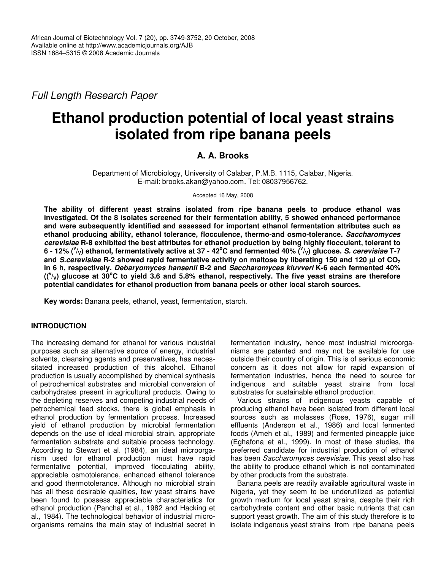*Full Length Research Paper*

# **Ethanol production potential of local yeast strains isolated from ripe banana peels**

# **A. A. Brooks**

Department of Microbiology, University of Calabar, P.M.B. 1115, Calabar, Nigeria. E-mail: brooks.akan@yahoo.com. Tel: 08037956762.

Accepted 16 May, 2008

**The ability of different yeast strains isolated from ripe banana peels to produce ethanol was investigated. Of the 8 isolates screened for their fermentation ability, 5 showed enhanced performance and were subsequently identified and assessed for important ethanol fermentation attributes such as ethanol producing ability, ethanol tolerance, flocculence, thermo-and osmo-tolerance.** *Saccharomyces cerevisiae* **R-8 exhibited the best attributes for ethanol production by being highly flocculent, tolerant to** 6 - 12% ( $v_{\vee}$ ) ethanol, fermentatively active at 37 - 42°C and fermented 40% ( $v_{\vee}$ ) glucose. S. cerevisiae T-7 and S.cerevisiae R-2 showed rapid fermentative activity on maltose by liberating 150 and 120 µl of CO<sub>2</sub> **in 6 h, respectively.** *Debaryomyces hansenii* **B-2 and** *Saccharomyces kluvveri* **K-6 each fermented 40%**  $( ({}^{\vee}_{V})$  glucose at 30°C to yield 3.6 and 5.8% ethanol, respectively. The five yeast strains are therefore **potential candidates for ethanol production from banana peels or other local starch sources.**

**Key words:** Banana peels, ethanol, yeast, fermentation, starch.

# **INTRODUCTION**

The increasing demand for ethanol for various industrial purposes such as alternative source of energy, industrial solvents, cleansing agents and preservatives, has necessitated increased production of this alcohol. Ethanol production is usually accomplished by chemical synthesis of petrochemical substrates and microbial conversion of carbohydrates present in agricultural products. Owing to the depleting reserves and competing industrial needs of petrochemical feed stocks, there is global emphasis in ethanol production by fermentation process. Increased yield of ethanol production by microbial fermentation depends on the use of ideal microbial strain, appropriate fermentation substrate and suitable process technology. According to Stewart et al. (1984), an ideal microorganism used for ethanol production must have rapid fermentative potential, improved flocculating ability, appreciable osmotolerance, enhanced ethanol tolerance and good thermotolerance. Although no microbial strain has all these desirable qualities, few yeast strains have been found to possess appreciable characteristics for ethanol production (Panchal et al*.*, 1982 and Hacking et al*.,* 1984). The technological behavior of industrial microorganisms remains the main stay of industrial secret in

fermentation industry, hence most industrial microorganisms are patented and may not be available for use outside their country of origin. This is of serious economic concern as it does not allow for rapid expansion of fermentation industries, hence the need to source for indigenous and suitable yeast strains from local substrates for sustainable ethanol production.

Various strains of indigenous yeasts capable of producing ethanol have been isolated from different local sources such as molasses (Rose, 1976), sugar mill effluents (Anderson et al*.,* 1986) and local fermented foods (Ameh et al*.,* 1989) and fermented pineapple juice (Eghafona et al., 1999). In most of these studies, the preferred candidate for industrial production of ethanol has been *Saccharomyces cerevisiae.* This yeast also has the ability to produce ethanol which is not contaminated by other products from the substrate.

Banana peels are readily available agricultural waste in Nigeria, yet they seem to be underutilized as potential growth medium for local yeast strains, despite their rich carbohydrate content and other basic nutrients that can support yeast growth. The aim of this study therefore is to isolate indigenous yeast strains from ripe banana peels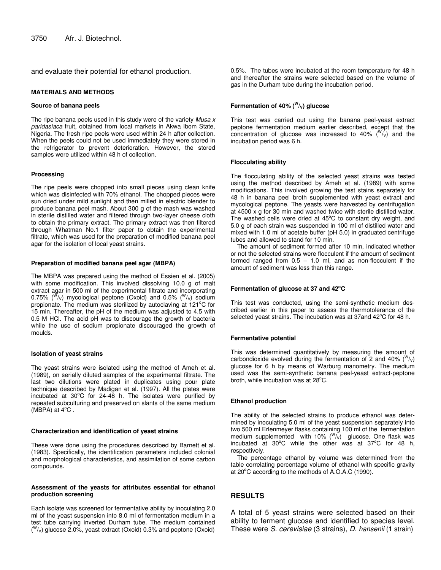and evaluate their potential for ethanol production.

#### **MATERIALS AND METHODS**

#### **Source of banana peels**

The ripe banana peels used in this study were of the variety *Musa x paridasiaca* fruit, obtained from local markets in Akwa Ibom State, Nigeria. The fresh ripe peels were used within 24 h after collection. When the peels could not be used immediately they were stored in the refrigerator to prevent deterioration. However, the stored samples were utilized within 48 h of collection.

#### **Processing**

The ripe peels were chopped into small pieces using clean knife which was disinfected with 70% ethanol. The chopped pieces were sun dried under mild sunlight and then milled in electric blender to produce banana peel mash. About 300 g of the mash was washed in sterile distilled water and filtered through two-layer cheese cloth to obtain the primary extract. The primary extract was then filtered through Whatman No.1 filter paper to obtain the experimental filtrate, which was used for the preparation of modified banana peel agar for the isolation of local yeast strains.

#### **Preparation of modified banana peel agar (MBPA)**

The MBPA was prepared using the method of Essien et al*.* (2005) with some modification. This involved dissolving 10.0 g of malt extract agar in 500 ml of the experimental filtrate and incorporating 0.75%  $(^{\mathsf{W}}\mathsf{/}_\mathsf{V})$  mycological peptone (Oxoid) and 0.5%  $(^{\mathsf{W}}\mathsf{/}_\mathsf{V})$  sodium propionate. The medium was sterilized by autoclaving at 121°C for 15 min. Thereafter, the pH of the medium was adjusted to 4.5 with 0.5 M HCl. The acid pH was to discourage the growth of bacteria while the use of sodium propionate discouraged the growth of moulds.

#### **Isolation of yeast strains**

The yeast strains were isolated using the method of Ameh et al*.* (1989), on serially diluted samples of the experimental filtrate. The last two dilutions were plated in duplicates using pour plate technique described by Madigan et al*.* (1997). All the plates were incubated at 30°C for 24-48 h. The isolates were purified by repeated subculturing and preserved on slants of the same medium (MBPA) at  $4^{\circ}$ C.

#### **Characterization and identification of yeast strains**

These were done using the procedures described by Barnett et al*.* (1983). Specifically, the identification parameters included colonial and morphological characteristics, and assimilation of some carbon compounds.

#### **Assessment of the yeasts for attributes essential for ethanol production screening**

Each isolate was screened for fermentative ability by inoculating 2.0 ml of the yeast suspension into 8.0 ml of fermentation medium in a test tube carrying inverted Durham tube. The medium contained  $($ <sup>W</sup>/ $<sub>V</sub>$ ) glucose 2.0%, yeast extract (Oxoid) 0.3% and peptone (Oxoid)</sub>

0.5%. The tubes were incubated at the room temperature for 48 h and thereafter the strains were selected based on the volume of gas in the Durham tube during the incubation period.

### **Fermentation of 40% ( W /V) glucose**

This test was carried out using the banana peel-yeast extract peptone fermentation medium earlier described, except that the concentration of glucose was increased to 40%  $(^{W}/_V)$  and the incubation period was 6 h.

#### **Flocculating ability**

The flocculating ability of the selected yeast strains was tested using the method described by Ameh et al*.* (1989) with some modifications. This involved growing the test stains separately for 48 h in banana peel broth supplemented with yeast extract and mycological peptone. The yeasts were harvested by centrifugation at 4500 x g for 30 min and washed twice with sterile distilled water. The washed cells were dried at  $45^{\circ}$ C to constant dry weight, and 5.0 g of each strain was suspended in 100 ml of distilled water and mixed with 1.0 ml of acetate buffer (pH 5.0) in graduated centrifuge tubes and allowed to stand for 10 min.

The amount of sediment formed after 10 min, indicated whether or not the selected strains were flocculent if the amount of sediment formed ranged from  $0.5 - 1.0$  ml, and as non-flocculent if the amount of sediment was less than this range.

## **Fermentation of glucose at 37 and 42 oC**

This test was conducted, using the semi-synthetic medium described earlier in this paper to assess the thermotolerance of the selected yeast strains. The incubation was at 37 and 42°C for 48 h.

#### **Fermentative potential**

This was determined quantitatively by measuring the amount of carbondioxide evolved during the fermentation of 2 and 40% ( $W(y)$ ) glucose for 6 h by means of Warburg manometry. The medium used was the semi-synthetic banana peel-yeast extract-peptone broth, while incubation was at 28°C.

#### **Ethanol production**

The ability of the selected strains to produce ethanol was determined by inoculating 5.0 ml of the yeast suspension separately into two 500 ml Erlenmeyer flasks containing 100 ml of the fermentation medium supplemented with 10%  $(^{W}_{V}{}_{V})$  glucose. One flask was incubated at  $30^{\circ}$ C while the other was at  $37^{\circ}$ C for 48 h, respectively.

The percentage ethanol by volume was determined from the table correlating percentage volume of ethanol with specific gravity at 20°C according to the methods of A.O.A.C (1990).

# **RESULTS**

A total of 5 yeast strains were selected based on their ability to ferment glucose and identified to species level. These were *S. cerevisiae* (3 strains), *D. hansenii* (1 strain)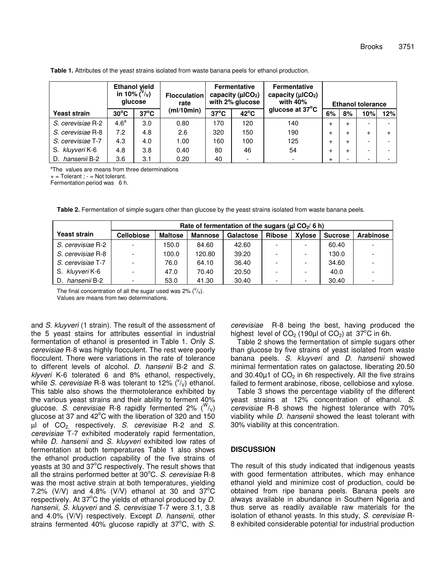|                    | <b>Ethanol yield</b><br>in 10% $\binom{V}{V}$<br>qlucose |                |            |                | <b>Flocculation</b><br>rate | <b>Fermentative</b><br>capacity ( $\mu$ ICO <sub>2</sub> )<br>with 2% glucose |           | <b>Fermentative</b><br>capacity ( $\mu$ ICO <sub>2</sub> )<br>with 40% | <b>Ethanol tolerance</b> |     |  |  |
|--------------------|----------------------------------------------------------|----------------|------------|----------------|-----------------------------|-------------------------------------------------------------------------------|-----------|------------------------------------------------------------------------|--------------------------|-----|--|--|
| Yeast strain       | $30^{\circ}$ C                                           | $37^{\circ}$ C | (mI/10min) | $37^{\circ}$ C | $42^{\circ}$ C              | glucose at 37°C                                                               | 6%        | 8%                                                                     | 10%                      | 12% |  |  |
| S. cerevisiae R-2  | 4.6 <sup>a</sup>                                         | 3.0            | 0.80       | 170            | 120                         | 140                                                                           | $\div$    | $+$                                                                    |                          |     |  |  |
| S. cerevisiae R-8  | 7.2                                                      | 4.8            | 2.6        | 320            | 150                         | 190                                                                           | $\div$    | $\ddot{}$                                                              | $\div$                   |     |  |  |
| S. cerevisiae T-7  | 4.3                                                      | 4.0            | 1.00       | 160            | 100                         | 125                                                                           | $\div$    | $\ddot{}$                                                              |                          |     |  |  |
| S. kluyveri K-6    | 4.8                                                      | 3.8            | 0.40       | 80             | 46                          | 54                                                                            | $\div$    | $+$                                                                    |                          |     |  |  |
| hansenii B-2<br>D. | 3.6                                                      | 3.1            | 0.20       | 40             |                             |                                                                               | $\ddot{}$ | -                                                                      |                          |     |  |  |

**Table 1.** Attributes of the yeast strains isolated from waste banana peels for ethanol production.

<sup>a</sup>The values are means from three determinations

 $+$  = Tolerant ;  $-$  = Not tolerant.

Fermentation period was 6 h.

|  |  | Table 2. Fermentation of simple sugars other than glucose by the yeast strains isolated from waste banana peels. |
|--|--|------------------------------------------------------------------------------------------------------------------|
|  |  |                                                                                                                  |
|  |  |                                                                                                                  |

|                     | Rate of fermentation of the sugars ( $\mu$ I CO <sub>2</sub> /6 h) |                |         |           |               |               |                |                          |  |
|---------------------|--------------------------------------------------------------------|----------------|---------|-----------|---------------|---------------|----------------|--------------------------|--|
| <b>Yeast strain</b> | <b>Cellobiose</b>                                                  | <b>Maltose</b> | Mannose | Galactose | <b>Ribose</b> | <b>Xylose</b> | <b>Sucrose</b> | Arabinose                |  |
| S. cerevisiae R-2   |                                                                    | 150.0          | 84.60   | 42.60     |               |               | 60.40          |                          |  |
| S. cerevisiae R-8   |                                                                    | 100.0          | 120.80  | 39.20     |               |               | 130.0          | $\overline{\phantom{a}}$ |  |
| S. cerevisiae T-7   |                                                                    | 76.0           | 64.10   | 36.40     |               |               | 34.60          |                          |  |
| S. kluyveri K-6     | $\overline{\phantom{a}}$                                           | 47.0           | 70.40   | 20.50     | -             |               | 40.0           | $\overline{\phantom{a}}$ |  |
| hansenii B-2<br>D.  |                                                                    | 53.0           | 41.30   | 30.40     | -             |               | 30.40          | $\overline{\phantom{0}}$ |  |

The final concentration of all the sugar used was 2% ( $\sqrt[1]{v}$ ). Values are means from two determinations.

and *S. kluyveri* (1 strain). The result of the assessment of the 5 yeast stains for attributes essential in industrial fermentation of ethanol is presented in Table 1. Only *S. cerevisiae* R-8 was highly flocculent. The rest were poorly flocculent. There were variations in the rate of tolerance to different levels of alcohol. *D. hansenii* B-2 and *S. klyveri* K-6 tolerated 6 and 8% ethanol, respectively, while S. cerevisiae R-8 was tolerant to 12% ('/<sub>V</sub>) ethanol. This table also shows the thermotolerance exhibited by the various yeast strains and their ability to ferment 40% glucose. S. *cerevisiae* R-8 rapidly fermented 2% (<sup>W</sup>/<sub>V</sub>) glucose at 37 and 42°C with the liberation of 320 and 150 µl of CO2, respectively. *S. cerevisiae* R-2 and *S. cerevisiae* T-7 exhibited moderately rapid fermentation, while *D. hansenii* and *S. kluyveri* exhibited low rates of fermentation at both temperatures Table 1 also shows the ethanol production capability of the five strains of yeasts at 30 and 37 $^{\circ}$ C respectively. The result shows that all the strains performed better at 30°C. S. *cerevisiae* R-8 was the most active strain at both temperatures, yielding 7.2% (V/V) and 4.8% (V/V) ethanol at 30 and 37 $\mathrm{^{\circ}C}$ respectively. At 37°C the yields of ethanol produced by D. *hansenii, S. kluyveri* and *S. cerevisiae* T-7 were 3.1, 3.8 and 4.0% (V/V) respectively. Except *D. hansenii*, other strains fermented 40% glucose rapidly at 37°C, with S.

*cerevisiae* R-8 being the best, having produced the highest level of CO<sub>2</sub> (190µl of CO<sub>2</sub>) at 37<sup>°</sup>C in 6h.

Table 2 shows the fermentation of simple sugars other than glucose by five strains of yeast isolated from waste banana peels. *S. kluyveri* and *D. hansenii* showed minimal fermentation rates on galactose, liberating 20.50 and 30.40 $\mu$ 1 of CO<sub>2</sub> in 6h respectively. All the five strains failed to ferment arabinose, ribose, cellobiose and xylose.

Table 3 shows the percentage viability of the different yeast strains at 12% concentration of ethanol. *S. cerevisiae* R-8 shows the highest tolerance with 70% viability while *D. hansenii* showed the least tolerant with 30% viability at this concentration.

# **DISCUSSION**

The result of this study indicated that indigenous yeasts with good fermentation attributes, which may enhance ethanol yield and minimize cost of production, could be obtained from ripe banana peels. Banana peels are always available in abundance in Southern Nigeria and thus serve as readily available raw materials for the isolation of ethanol yeasts. In this study, *S. cerevisiae* R-8 exhibited considerable potential for industrial production